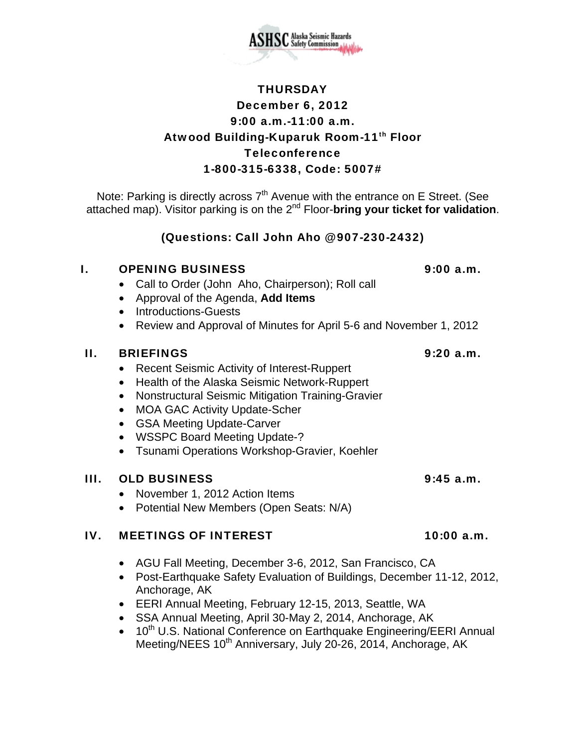

# **THURSDAY** December 6, 2012 9:00 a.m.-11:00 a.m. Atwood Building-Kuparuk Room-11th Floor Teleconference 1-800-315-6338, Code: 5007#

Note: Parking is directly across  $7<sup>th</sup>$  Avenue with the entrance on E Street. (See attached map). Visitor parking is on the 2nd Floor-**bring your ticket for validation**.

(Questions: Call John Aho @ 907-230-2432)

## I. OPENING BUSINESS 9:00 a.m.

- Call to Order (John Aho, Chairperson); Roll call
- Approval of the Agenda, **Add Items**
- Introductions-Guests
- Review and Approval of Minutes for April 5-6 and November 1, 2012

## II. BRIEFINGS 9:20 a.m.

- Recent Seismic Activity of Interest-Ruppert
- Health of the Alaska Seismic Network-Ruppert
- Nonstructural Seismic Mitigation Training-Gravier
- MOA GAC Activity Update-Scher
- GSA Meeting Update-Carver
- WSSPC Board Meeting Update-?
- Tsunami Operations Workshop-Gravier, Koehler

### III. OLD BUSINESS 9:45 a.m.

- November 1, 2012 Action Items
- Potential New Members (Open Seats: N/A)

### IV. MEETINGS OF INTEREST 10:00 a.m.

- AGU Fall Meeting, December 3-6, 2012, San Francisco, CA
- Post-Earthquake Safety Evaluation of Buildings, December 11-12, 2012, Anchorage, AK
- EERI Annual Meeting, February 12-15, 2013, Seattle, WA
- SSA Annual Meeting, April 30-May 2, 2014, Anchorage, AK
- 10<sup>th</sup> U.S. National Conference on Earthquake Engineering/EERI Annual Meeting/NEES 10<sup>th</sup> Anniversary, July 20-26, 2014, Anchorage, AK